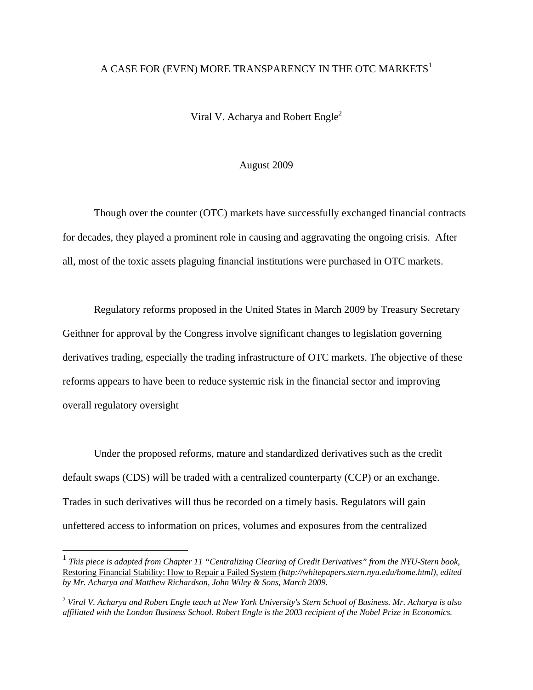## A CASE FOR (EVEN) MORE TRANSPARENCY IN THE OTC MARKETS<sup>1</sup>

Viral V. Acharya and Robert Engle<sup>2</sup>

## August 2009

 Though over the counter (OTC) markets have successfully exchanged financial contracts for decades, they played a prominent role in causing and aggravating the ongoing crisis. After all, most of the toxic assets plaguing financial institutions were purchased in OTC markets.

Regulatory reforms proposed in the United States in March 2009 by Treasury Secretary Geithner for approval by the Congress involve significant changes to legislation governing derivatives trading, especially the trading infrastructure of OTC markets. The objective of these reforms appears to have been to reduce systemic risk in the financial sector and improving overall regulatory oversight

Under the proposed reforms, mature and standardized derivatives such as the credit default swaps (CDS) will be traded with a centralized counterparty (CCP) or an exchange. Trades in such derivatives will thus be recorded on a timely basis. Regulators will gain unfettered access to information on prices, volumes and exposures from the centralized

<u>.</u>

<sup>&</sup>lt;sup>1</sup> *This piece is adapted from Chapter 11 "Centralizing Clearing of Credit Derivatives" from the NYU-Stern book,* Restoring Financial Stability: How to Repair a Failed System *(http://whitepapers.stern.nyu.edu/home.html), edited by Mr. Acharya and Matthew Richardson, John Wiley & Sons, March 2009.* 

<sup>2</sup> *Viral V. Acharya and Robert Engle teach at New York University's Stern School of Business. Mr. Acharya is also affiliated with the London Business School. Robert Engle is the 2003 recipient of the Nobel Prize in Economics.*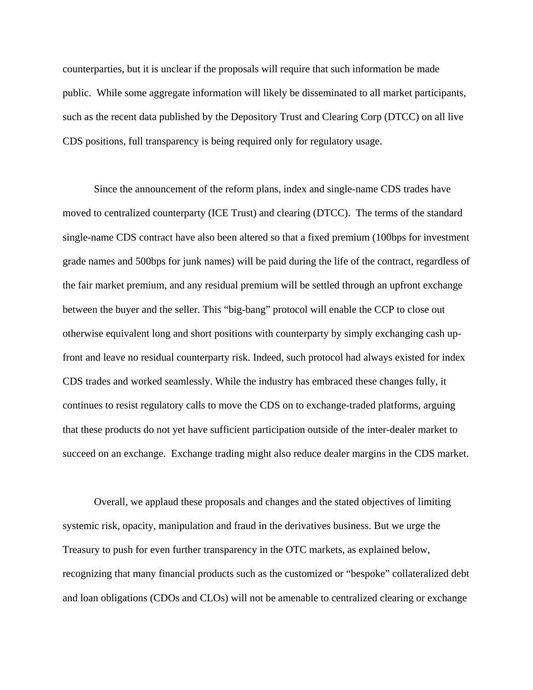counterparties, but it is unclear if the proposals will require that such information be made public. While some aggregate information will likely be disseminated to all market participants, such as the recent data published by the Depository Trust and Clearing Corp (DTCC) on all live CDS positions, full transparency is being required only for regulatory usage.

Since the announcement of the reform plans, index and single-name CDS trades have moved to centralized counterparty (ICE Trust) and clearing (DTCC). The terms of the standard single-name CDS contract have also been altered so that a fixed premium (100bps for investment grade names and 500bps for junk names) will be paid during the life of the contract, regardless of the fair market premium, and any residual premium will be settled through an upfront exchange between the buyer and the seller. This "big-bang" protocol will enable the CCP to close out otherwise equivalent long and short positions with counterparty by simply exchanging cash upfront and leave no residual counterparty risk. Indeed, such protocol had always existed for index CDS trades and worked seamlessly. While the industry has embraced these changes fully, it continues to resist regulatory calls to move the CDS on to exchange-traded platforms, arguing that these products do not yet have sufficient participation outside of the inter-dealer market to succeed on an exchange. Exchange trading might also reduce dealer margins in the CDS market.

 Overall, we applaud these proposals and changes and the stated objectives of limiting systemic risk, opacity, manipulation and fraud in the derivatives business. But we urge the Treasury to push for even further transparency in the OTC markets, as explained below, recognizing that many financial products such as the customized or "bespoke" collateralized debt and loan obligations (CDOs and CLOs) will not be amenable to centralized clearing or exchange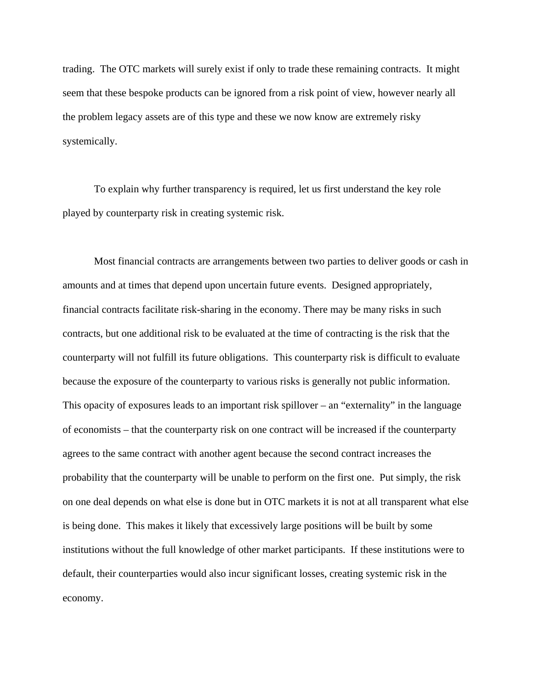trading. The OTC markets will surely exist if only to trade these remaining contracts. It might seem that these bespoke products can be ignored from a risk point of view, however nearly all the problem legacy assets are of this type and these we now know are extremely risky systemically.

To explain why further transparency is required, let us first understand the key role played by counterparty risk in creating systemic risk.

 Most financial contracts are arrangements between two parties to deliver goods or cash in amounts and at times that depend upon uncertain future events. Designed appropriately, financial contracts facilitate risk-sharing in the economy. There may be many risks in such contracts, but one additional risk to be evaluated at the time of contracting is the risk that the counterparty will not fulfill its future obligations. This counterparty risk is difficult to evaluate because the exposure of the counterparty to various risks is generally not public information. This opacity of exposures leads to an important risk spillover – an "externality" in the language of economists – that the counterparty risk on one contract will be increased if the counterparty agrees to the same contract with another agent because the second contract increases the probability that the counterparty will be unable to perform on the first one. Put simply, the risk on one deal depends on what else is done but in OTC markets it is not at all transparent what else is being done. This makes it likely that excessively large positions will be built by some institutions without the full knowledge of other market participants. If these institutions were to default, their counterparties would also incur significant losses, creating systemic risk in the economy.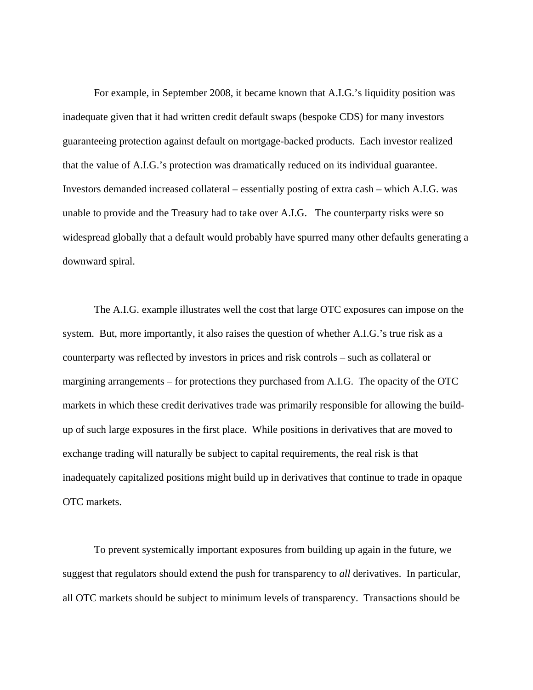For example, in September 2008, it became known that A.I.G.'s liquidity position was inadequate given that it had written credit default swaps (bespoke CDS) for many investors guaranteeing protection against default on mortgage-backed products. Each investor realized that the value of A.I.G.'s protection was dramatically reduced on its individual guarantee. Investors demanded increased collateral – essentially posting of extra cash – which A.I.G. was unable to provide and the Treasury had to take over A.I.G. The counterparty risks were so widespread globally that a default would probably have spurred many other defaults generating a downward spiral.

The A.I.G. example illustrates well the cost that large OTC exposures can impose on the system. But, more importantly, it also raises the question of whether A.I.G.'s true risk as a counterparty was reflected by investors in prices and risk controls – such as collateral or margining arrangements – for protections they purchased from A.I.G. The opacity of the OTC markets in which these credit derivatives trade was primarily responsible for allowing the buildup of such large exposures in the first place. While positions in derivatives that are moved to exchange trading will naturally be subject to capital requirements, the real risk is that inadequately capitalized positions might build up in derivatives that continue to trade in opaque OTC markets.

To prevent systemically important exposures from building up again in the future, we suggest that regulators should extend the push for transparency to *all* derivatives. In particular, all OTC markets should be subject to minimum levels of transparency. Transactions should be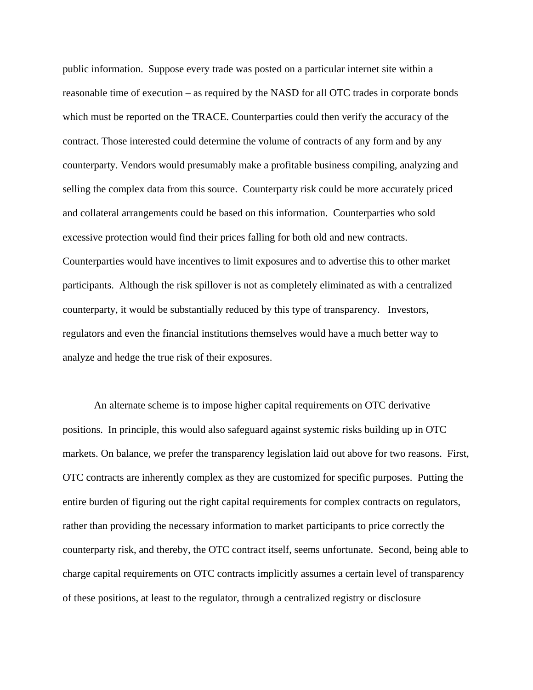public information. Suppose every trade was posted on a particular internet site within a reasonable time of execution – as required by the NASD for all OTC trades in corporate bonds which must be reported on the TRACE. Counterparties could then verify the accuracy of the contract. Those interested could determine the volume of contracts of any form and by any counterparty. Vendors would presumably make a profitable business compiling, analyzing and selling the complex data from this source. Counterparty risk could be more accurately priced and collateral arrangements could be based on this information. Counterparties who sold excessive protection would find their prices falling for both old and new contracts. Counterparties would have incentives to limit exposures and to advertise this to other market participants. Although the risk spillover is not as completely eliminated as with a centralized counterparty, it would be substantially reduced by this type of transparency. Investors, regulators and even the financial institutions themselves would have a much better way to analyze and hedge the true risk of their exposures.

 An alternate scheme is to impose higher capital requirements on OTC derivative positions. In principle, this would also safeguard against systemic risks building up in OTC markets. On balance, we prefer the transparency legislation laid out above for two reasons. First, OTC contracts are inherently complex as they are customized for specific purposes. Putting the entire burden of figuring out the right capital requirements for complex contracts on regulators, rather than providing the necessary information to market participants to price correctly the counterparty risk, and thereby, the OTC contract itself, seems unfortunate. Second, being able to charge capital requirements on OTC contracts implicitly assumes a certain level of transparency of these positions, at least to the regulator, through a centralized registry or disclosure